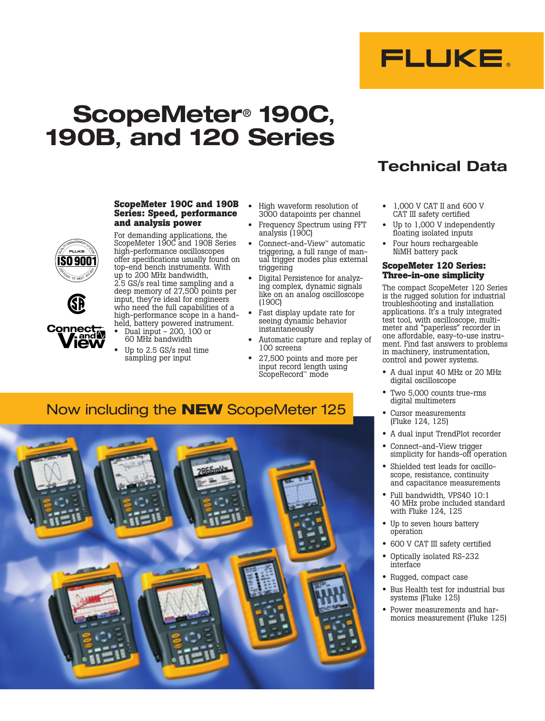

# **ScopeMeter**® **190C, 190B, and 120 Series**

**ScopeMeter 190C and 190B Series: Speed, performance** 

For demanding applications, the ScopeMeter 190C and 190B Series high-performance oscilloscopes offer specifications usually found on top-end bench instruments. With up to 200 MHz bandwidth, 2.5 GS/s real time sampling and a deep memory of 27,500 points per input, they're ideal for engineers

**and analysis power**

## **WANAGEMENT SYSTEM** ISO 900 CERTIFIED TO MEET 1909



- who need the full capabilities of a high-performance scope in a hand- held, battery powered instrument. **Connective View** • Dual input - 200, 100 or 60 MHz bandwidth
	- Up to 2.5 GS/s real time sampling per input
- High waveform resolution of 3000 datapoints per channel
- Frequency Spectrum using FFT analysis (190C)
- Connect-and-View™ automatic triggering, a full range of manual trigger modes plus external triggering
- Digital Persistence for analyzing complex, dynamic signals like on an analog oscilloscope (190C)
- Fast display update rate for seeing dynamic behavior instantaneously
- Automatic capture and replay of 100 screens
- 27,500 points and more per input record length using ScopeRecord™ mode
- **Technical Data**
- 1,000 V CAT II and 600 V CAT III safety certified
- Up to 1,000 V independently floating isolated inputs
- Four hours rechargeable NiMH battery pack

#### **ScopeMeter 120 Series: Three-in-one simplicity**

The compact ScopeMeter 120 Series is the rugged solution for industrial troubleshooting and installation applications. It's a truly integrated test tool, with oscilloscope, multimeter and "paperless" recorder in one affordable, easy-to-use instrument. Find fast answers to problems in machinery, instrumentation, control and power systems.

- A dual input 40 MHz or 20 MHz digital oscilloscope
- Two 5,000 counts true-rms digital multimeters
- Cursor measurements (Fluke 124, 125)
- A dual input TrendPlot recorder
- Connect-and-View trigger simplicity for hands-off operation
- Shielded test leads for oscilloscope, resistance, continuity and capacitance measurements
- Full bandwidth, VPS40 10:1 40 MHz probe included standard with Fluke 124, 125
- Up to seven hours battery operation
- 600 V CAT III safety certified
- Optically isolated RS-232 interface
- Rugged, compact case
- Bus Health test for industrial bus systems (Fluke 125)
- Power measurements and harmonics measurement (Fluke 125)

## Now including the **NEW** ScopeMeter 125

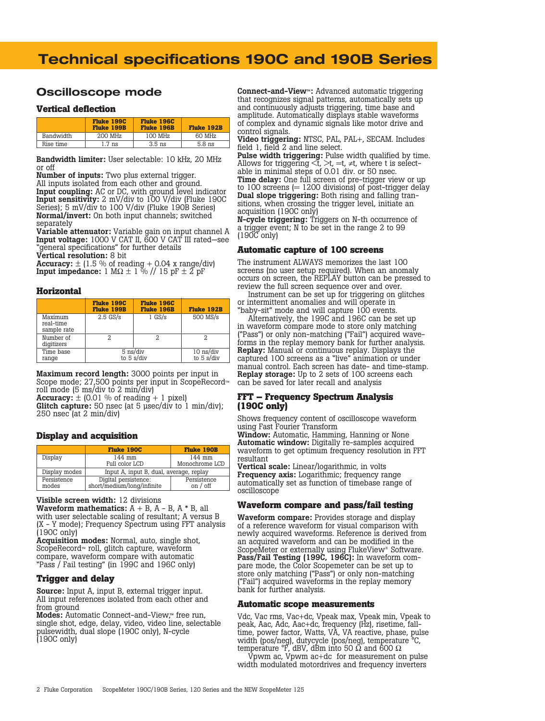## **Technical specifications 190C and 190B Series**

## **Oscilloscope mode**

#### **Vertical deflection**

|           | <b>Fluke 199C</b><br><b>Fluke 199B</b> | <b>Fluke 196C</b><br><b>Fluke 196B</b> | <b>Fluke 192B</b> |  |  |
|-----------|----------------------------------------|----------------------------------------|-------------------|--|--|
| Bandwidth | 200 MHz                                | 100 MHz                                | 60 MHz            |  |  |
| Rise time | $1.7 \text{ ns}$                       | $3.5$ ns                               | $5.8$ ns          |  |  |

Bandwidth limiter: User selectable: 10 kHz, 20 MHz or off

Number of inputs: Two plus external trigger.

All inputs isolated from each other and ground. Input coupling: AC or DC, with ground level indicator Input sensitivity: 2 mV/div to 100 V/div (Fluke 190C Series); 5 mV/div to 100 V/div (Fluke 190B Series) Normal/invert: On both input channels; switched separately

Variable attenuator: Variable gain on input channel A Input voltage: 1000 V CAT II, 600 V CAT III rated—see "general specifications" for further details Vertical resolution: 8 bit

Accuracy:  $\pm$  (1.5 % of reading + 0.04 x range/div) **Input impedance:** 1 M $\Omega \pm 1$  % // 15 pF  $\pm 2$  pF

#### **Horizontal**

|                                     | <b>Fluke 199C</b><br><b>Fluke 199B</b>           | <b>Fluke 196C</b><br><b>Fluke 196B</b>            | <b>Fluke 192B</b> |  |
|-------------------------------------|--------------------------------------------------|---------------------------------------------------|-------------------|--|
| Maximum<br>real-time<br>sample rate | $2.5$ GS/s                                       | $1$ GS/s                                          | 500 MS/s          |  |
| Number of<br>digitizers             |                                                  |                                                   |                   |  |
| Time base<br>range                  | $5$ ns/div<br>to $5 \frac{\text{s}}{\text{div}}$ | $10$ ns/div<br>to $5 \frac{\text{s}}{\text{div}}$ |                   |  |

Maximum record length: 3000 points per input in Scope mode; 27,500 points per input in ScopeRecord™ roll mode (5 ms/div to 2 min/div)

Accuracy:  $\pm$  (0.01 % of reading + 1 pixel)

**Glitch capture:** 50 nsec (at 5 µsec/div to 1 min/div); 250 nsec (at 2 min/div)

#### **Display and acquisition**

|                      | <b>Fluke 190C</b>                                  | <b>Fluke 190B</b>         |  |
|----------------------|----------------------------------------------------|---------------------------|--|
| Display              | 144 mm<br>Full color LCD                           | 144 mm<br>Monochrome LCD  |  |
| Display modes        | Input A, input B, dual, average, replay            |                           |  |
| Persistence<br>modes | Digital persistence:<br>short/medium/long/infinite | Persistence<br>on $/$ off |  |

Visible screen width: 12 divisions

Waveform mathematics:  $A + B$ ,  $A - B$ ,  $A * B$ , all with user selectable scaling of resultant; A versus B (X - Y mode); Frequency Spectrum using FFT analysis (190C only)

Acquisition modes: Normal, auto, single shot, ScopeRecord™ roll, glitch capture, waveform compare, waveform compare with automatic "Pass / Fail testing" (in 199C and 196C only)

#### **Trigger and delay**

Source: Input A, input B, external trigger input. All input references isolated from each other and from ground

Modes: Automatic Connect-and-View,™ free run, single shot, edge, delay, video, video line, selectable pulsewidth, dual slope (190C only), N-cycle (190C only)

Connect-and-View™: Advanced automatic triggering that recognizes signal patterns, automatically sets up and continuously adjusts triggering, time base and amplitude. Automatically displays stable waveforms of complex and dynamic signals like motor drive and control signals.

Video triggering: NTSC, PAL, PAL+, SECAM. Includes field 1, field 2 and line select.

Pulse width triggering: Pulse width qualified by time. Allows for triggering  $\langle t, \rangle t$ , =t, ≠t, where t is selectable in minimal steps of 0.01 div. or 50 nsec. Time delay: One full screen of pre-trigger view or up to 100 screens  $(= 1200 \text{ divisions})$  of post-trigger delay

Dual slope triggering: Both rising and falling transitions, when crossing the trigger level, initiate an acquisition (190C only)

N-cycle triggering: Triggers on N-th occurrence of a trigger event; N to be set in the range 2 to 99 (190C only)

#### **Automatic capture of 100 screens**

The instrument ALWAYS memorizes the last 100 screens (no user setup required). When an anomaly occurs on screen, the REPLAY button can be pressed to review the full screen sequence over and over.

Instrument can be set up for triggering on glitches or intermittent anomalies and will operate in "baby-sit" mode and will capture 100 events.

Alternatively, the 199C and 196C can be set up in waveform compare mode to store only matching<br>("Pass") or only non-matching ("Fail") acquired waveforms in the replay memory bank for further analysis. Replay: Manual or continuous replay. Displays the captured 100 screens as a "live" animation or under manual control. Each screen has date- and time-stamp. Replay storage: Up to 2 sets of 100 screens each can be saved for later recall and analysis

#### **FFT – Frequency Spectrum Analysis (190C only)**

Shows frequency content of oscilloscope waveform using Fast Fourier Transform

Window: Automatic, Hamming, Hanning or None Automatic window: Digitally re-samples acquired waveform to get optimum frequency resolution in FFT resultant

Vertical scale: Linear/logarithmic, in volts Frequency axis: Logarithmic; frequency range automatically set as function of timebase range of oscilloscope

#### **Waveform compare and pass/fail testing**

Waveform compare: Provides storage and display of a reference waveform for visual comparison with newly acquired waveforms. Reference is derived from an acquired waveform and can be modified in the ScopeMeter or externally using FlukeView® Software. Pass/Fail Testing (199C, 196C): In waveform compare mode, the Color Scopemeter can be set up to store only matching ("Pass") or only non-matching ("Fail") acquired waveforms in the replay memory bank for further analysis.

#### **Automatic scope measurements**

Vdc, Vac rms, Vac+dc, Vpeak max, Vpeak min, Vpeak to peak, Aac, Adc, Aac+dc, frequency (Hz), risetime, falltime, power factor, Watts, VA, VA reactive, phase, pulse width (pos/neg), dutycycle (pos/neg), temperature °C, temperature °F, dBV, dBm into 50 Ω and 600 Ω

Vpwm ac, Vpwm ac+dc for measurement on pulse width modulated motordrives and frequency inverters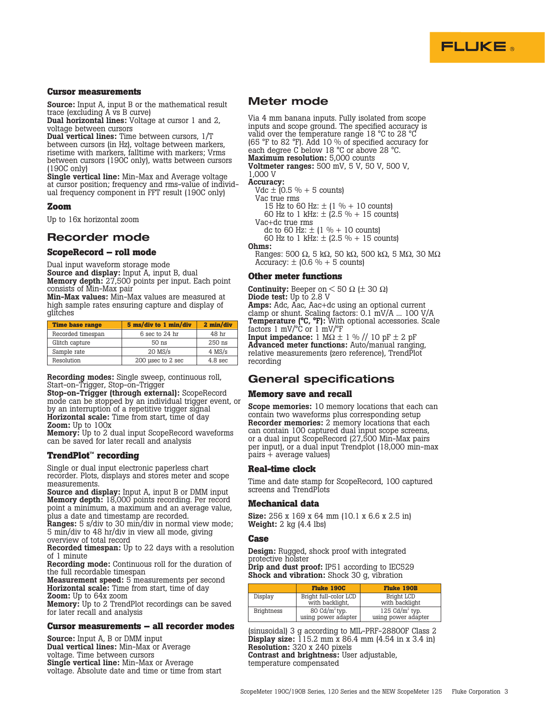

#### **Cursor measurements**

**Source:** Input A, input B or the mathematical result trace (excluding A vs B curve)

Dual horizontal lines: Voltage at cursor 1 and 2, voltage between cursors

Dual vertical lines: Time between cursors, 1/T between cursors (in Hz), voltage between markers, risetime with markers, falltime with markers; Vrms between cursors (190C only), watts between cursors (190C only)

Single vertical line: Min-Max and Average voltage at cursor position; frequency and rms-value of individual frequency component in FFT result (190C only)

#### **Zoom**

Up to 16x horizontal zoom

## **Recorder mode**

#### **ScopeRecord – roll mode**

Dual input waveform storage mode

Source and display: Input A, input B, dual Memory depth: 27,500 points per input. Each point consists of Min-Max pair

Min-Max values: Min-Max values are measured at high sample rates ensuring capture and display of glitches

| <b>Time base range</b> | 5 ms/div to 1 min/div | 2 min/div          |
|------------------------|-----------------------|--------------------|
| Recorded timespan      | 6 sec to 24 hr        | 48 hr              |
| Glitch capture         | 50 ns                 | 250 ns             |
| Sample rate            | $20$ MS/s             | $4$ MS/s           |
| Resolution             | 200 usec to 2 sec     | 4.8 <sub>sec</sub> |

Recording modes: Single sweep, continuous roll, Start-on-Trigger, Stop-on-Trigger

Stop-on-Trigger (through external): ScopeRecord mode can be stopped by an individual trigger event, or by an interruption of a repetitive trigger signal Horizontal scale: Time from start, time of day **Zoom:** Up to 100x

Memory: Up to 2 dual input ScopeRecord waveforms can be saved for later recall and analysis

#### **TrendPlot™ recording**

Single or dual input electronic paperless chart recorder. Plots, displays and stores meter and scope measurements.

Source and display: Input A, input B or DMM input Memory depth: 18,000 points recording. Per record point a minimum, a maximum and an average value, plus a date and timestamp are recorded.

Ranges: 5 s/div to 30 min/div in normal view mode; 5 min/div to 48 hr/div in view all mode, giving overview of total record

Recorded timespan: Up to 22 days with a resolution of 1 minute

Recording mode: Continuous roll for the duration of the full recordable timespan

Measurement speed: 5 measurements per second Horizontal scale: Time from start, time of day Zoom: Up to 64x zoom

Memory: Up to 2 TrendPlot recordings can be saved for later recall and analysis

#### **Cursor measurements – all recorder modes**

Source: Input A, B or DMM input Dual vertical lines: Min-Max or Average voltage. Time between cursors Single vertical line: Min-Max or Average voltage. Absolute date and time or time from start

## **Meter mode**

Via 4 mm banana inputs. Fully isolated from scope inputs and scope ground. The specified accuracy is valid over the temperature range 18 °C to 28 °C (65 °F to 82 °F). Add 10 % of specified accuracy for each degree C below 18 °C or above 28 °C. Maximum resolution: 5,000 counts Voltmeter ranges: 500 mV, 5 V, 50 V, 500 V, 1,000 V Accuracy:

 $Vdc \pm 0.5 \% + 5$  counts)

## Vac true rms

15 Hz to 60 Hz:  $\pm$  (1 % + 10 counts) 60 Hz to 1 kHz:  $\pm$  (2.5 % + 15 counts)

Vac+dc true rms dc to 60 Hz:  $\pm$  (1 % + 10 counts)

60 Hz to 1 kHz:  $\pm$  (2.5 % + 15 counts)

Ohms:

Ranges: 500 Ω, 5 kΩ, 50 kΩ, 500 kΩ, 5 MΩ, 30 MΩ Accuracy:  $\pm$  (0.6 % + 5 counts)

#### **Other meter functions**

Continuity: Beeper on  $< 50 \Omega$  ( $\pm 30 \Omega$ ) Diode test: Up to 2.8 V Amps: Adc, Aac, Aac+dc using an optional current clamp or shunt. Scaling factors: 0.1 mV/A ... 100 V/A Temperature (°C, °F): With optional accessories. Scale factors 1 mV/°C or 1 mV/°F **Input impedance:** 1 M $\Omega$   $\pm$  1 % // 10 pF  $\pm$  2 pF Advanced meter functions: Auto/manual ranging, relative measurements (zero reference), TrendPlot recording

## **General specifications**

#### **Memory save and recall**

Scope memories: 10 memory locations that each can contain two waveforms plus corresponding setup Recorder memories: 2 memory locations that each can contain 100 captured dual input scope screens, or a dual input ScopeRecord (27,500 Min-Max pairs per input), or a dual input Trendplot (18,000 min-max  $_{\text{pairs}} +$  average values)

#### **Real-time clock**

Time and date stamp for ScopeRecord, 100 captured screens and TrendPlots

#### **Mechanical data**

Size: 256 x 169 x 64 mm (10.1 x 6.6 x 2.5 in) Weight: 2 kg (4.4 lbs)

#### **Case**

Design: Rugged, shock proof with integrated protective holster Drip and dust proof: IP51 according to IEC529 Shock and vibration: Shock 30 g, vibration

|                   | <b>Fluke 190C</b>                        | <b>Fluke 190B</b>                        |
|-------------------|------------------------------------------|------------------------------------------|
| Display           | Bright full-color LCD<br>with backlight, | Bright LCD<br>with backlight             |
| <b>Brightness</b> | 80 $Cd/m^2$ typ.<br>using power adapter  | 125 $Cd/m^2$ typ.<br>using power adapter |

(sinusoidal) 3 g according to MIL-PRF-28800F Class 2 Display size: 115.2 mm x 86.4 mm (4.54 in x 3.4 in) Resolution: 320 x 240 pixels Contrast and brightness: User adjustable, temperature compensated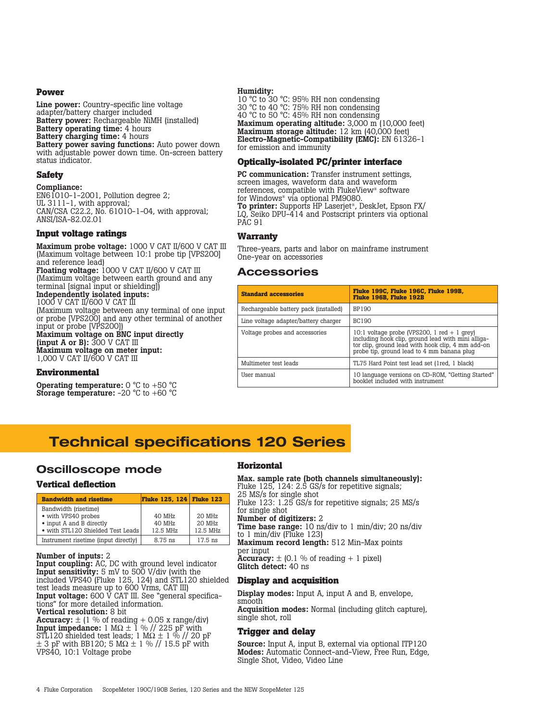#### **Power**

Line power: Country-specific line voltage adapter/battery charger included Battery power: Rechargeable NiMH (installed) Battery operating time: 4 hours Battery charging time: 4 hours Battery power saving functions: Auto power down with adjustable power down time. On-screen battery status indicator.

#### **Safety**

Compliance:

EN61010-1-2001, Pollution degree 2; UL 3111-1, with approval; CAN/CSA C22.2, No. 61010-1-04, with approval; ANSI/ISA-82.02.01

## **Input voltage ratings**

Maximum probe voltage: 1000 V CAT II/600 V CAT III (Maximum voltage between 10:1 probe tip [VPS200] and reference lead) Floating voltage: 1000 V CAT II/600 V CAT III (Maximum voltage between earth ground and any terminal [signal input or shielding]) Independently isolated inputs: 1000 V CAT II/600 V CAT III (Maximum voltage between any terminal of one input or probe [VPS200] and any other terminal of another input or probe [VPS200])

Maximum voltage on BNC input directly (input A or B):  $300 \text{ V }$  CAT III Maximum voltage on meter input:

1,000 V CAT II/600 V CAT III

## **Environmental**

**Operating temperature:**  $0 °C$  to  $+50 °C$ **Storage temperature:** -20  $^{\circ}$ C to +60  $^{\circ}$ C

#### Humidity:

10 °C to 30 °C: 95% RH non condensing 30 °C to 40 °C: 75% RH non condensing 40 °C to 50 °C: 45% RH non condensing Maximum operating altitude: 3,000 m (10,000 feet) Maximum storage altitude: 12 km (40,000 feet) Electro-Magnetic-Compatibility (EMC): EN 61326-1 for emission and immunity

## **Optically-isolated PC/printer interface**

PC communication: Transfer instrument settings, screen images, waveform data and waveform references, compatible with FlukeView® software for Windows® via optional PM9080. To printer: Supports HP Laserjet®, DeskJet, Epson FX/ LQ, Seiko DPU-414 and Postscript printers via optional PAC 91

#### **Warranty**

Three-years, parts and labor on mainframe instrument One-year on accessories

## **Accessories**

| <b>Standard accessories</b>           | Fluke 199C. Fluke 196C. Fluke 199B.<br>Fluke 196B. Fluke 192B                                                                                                                                          |
|---------------------------------------|--------------------------------------------------------------------------------------------------------------------------------------------------------------------------------------------------------|
| Rechargeable battery pack (installed) | <b>BP190</b>                                                                                                                                                                                           |
| Line voltage adapter/battery charger  | BC190                                                                                                                                                                                                  |
| Voltage probes and accessories        | 10:1 voltage probe (VPS200, 1 red $+$ 1 grey)<br>including hook clip, ground lead with mini alliga-<br>tor clip, ground lead with hook clip, 4 mm add-on<br>probe tip, ground lead to 4 mm banana plug |
| Multimeter test leads                 | TL75 Hard Point test lead set (1red, 1 black)                                                                                                                                                          |
| User manual                           | 10 language versions on CD-ROM, "Getting Started"<br>booklet included with instrument                                                                                                                  |

## **Technical specifications 120 Series**

## **Oscilloscope mode**

## **Vertical deflection**

| <b>Bandwidth and risetime</b>                                                                                | <b>Fluke 125, 124 Fluke 123</b> |                              |
|--------------------------------------------------------------------------------------------------------------|---------------------------------|------------------------------|
| Bandwidth (risetime)<br>• with VPS40 probes<br>• input A and B directly<br>• with STL120 Shielded Test Leads | 40 MHz<br>40 MHz<br>12.5 MHz    | 20 MHz<br>20 MHz<br>12.5 MHz |
| Instrument risetime (input directly)                                                                         | 8.75 ns                         | $17.5$ ns                    |

Number of inputs: 2

Input coupling: AC, DC with ground level indicator Input sensitivity: 5 mV to 500 V/div (with the included VPS40 (Fluke 125, 124) and STL120 shielded test leads measure up to 600 Vrms, CAT III) Input voltage: 600 V CAT III. See "general specifications" for more detailed information. Vertical resolution: 8 bit

**Accuracy:**  $\pm$  (1 % of reading + 0.05 x range/div) **Input impedance:** 1 M $\Omega \pm 1$  % // 225 pF with STL120 shielded test leads; 1 M $\Omega$   $\pm$  1 % // 20 pF  $\pm$  3 pF with BB120; 5 M $\Omega \pm$  1 % // 15.5 pF with VPS40, 10:1 Voltage probe

## **Horizontal**

Max. sample rate (both channels simultaneously): Fluke 125, 124: 2.5 GS/s for repetitive signals; 25 MS/s for single shot

Fluke 123: 1.25 GS/s for repetitive signals; 25 MS/s for single shot

Number of digitizers: 2

Time base range: 10 ns/div to 1 min/div; 20 ns/div to 1 min/div (Fluke 123)

Maximum record length: 512 Min-Max points per input

Accuracy:  $\pm$  (0.1 % of reading + 1 pixel) Glitch detect: 40 ns

## **Display and acquisition**

Display modes: Input A, input A and B, envelope, smooth

Acquisition modes: Normal (including glitch capture), single shot, roll

## **Trigger and delay**

Source: Input A, input B, external via optional ITP120 Modes: Automatic Connect-and-View, Free Run, Edge, Single Shot, Video, Video Line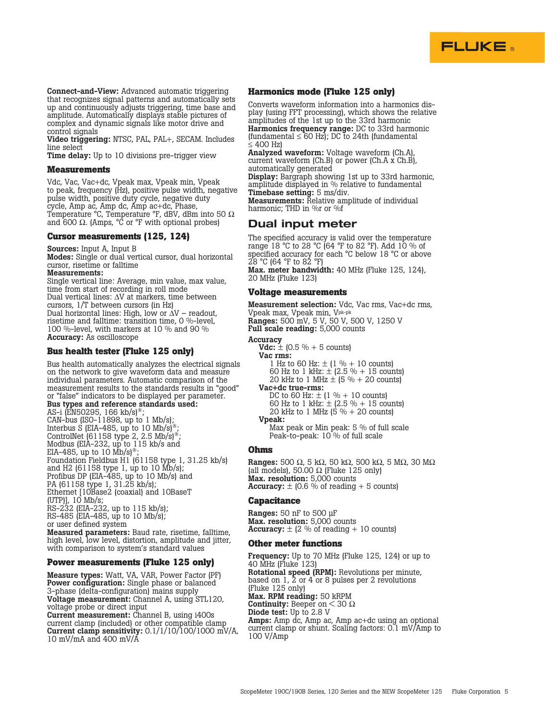

Connect-and-View: Advanced automatic triggering that recognizes signal patterns and automatically sets up and continuously adjusts triggering, time base and amplitude. Automatically displays stable pictures of complex and dynamic signals like motor drive and control signals

Video triggering: NTSC, PAL, PAL+, SECAM. Includes line select

Time delay: Up to 10 divisions pre-trigger view

#### **Measurements**

Vdc, Vac, Vac+dc, Vpeak max, Vpeak min, Vpeak to peak, frequency (Hz), positive pulse width, negative pulse width, positive duty cycle, negative duty cycle, Amp ac, Amp dc, Amp ac+dc, Phase, Temperature °C, Temperature °F, dBV, dBm into 50 Ω and 600 Ω. (Amps,  ${}^{\circ}$ C or  ${}^{\circ}$ F with optional probes)

#### **Cursor measurements (125, 124)**

#### Sources: Input A, Input B

Modes: Single or dual vertical cursor, dual horizontal cursor, risetime or falltime

#### Measurements:

Single vertical line: Average, min value, max value, time from start of recording in roll mode Dual vertical lines: ∆V at markers, time between cursors, 1/T between cursors (in Hz) Dual horizontal lines: High, low or ∆V – readout, risetime and falltime: transition time, 0 %-level, 100 %-level, with markers at 10 % and 90 % Accuracy: As oscilloscope

#### **Bus health tester (Fluke 125 only)**

Bus health automatically analyzes the electrical signals on the network to give waveform data and measure individual parameters. Automatic comparison of the measurement results to the standards results in "good" or "false" indicators to be displayed per parameter. Bus types and reference standards used: AS-i (EN50295, 166 kb/s)<sup>®</sup> CAN-bus (ISO-11898, up to 1 Mb/s); Interbus S (EIA-485, up to 10 Mb/s)<sup>®</sup>; ControlNet (61158 type 2, 2.5 Mb/s)<sup>®</sup>; Modbus (EIA-232, up to 115 kb/s and EIA-485, up to 10 Mb/s) Foundation Fieldbus H1 (61158 type 1, 31.25 kb/s) and H2 (61158 type 1, up to 10 Mb/s); Profibus DP (EIA-485, up to 10 Mb/s) and PA (61158 type 1, 31.25 kb/s); Ethernet [10Base2 (coaxial) and 10BaseT (UTP)], 10 Mb/s; RS-232 (EIA-232, up to 115 kb/s); RS-485 (EIA-485, up to 10 Mb/s); or user defined system

Measured parameters: Baud rate, risetime, falltime, high level, low level, distortion, amplitude and jitter, with comparison to system's standard values

#### **Power measurements (Fluke 125 only)**

Measure types: Watt, VA, VAR, Power Factor (PF) Power configuration: Single phase or balanced 3-phase (delta-configuration) mains supply Voltage measurement: Channel A, using STL120, voltage probe or direct input

Current measurement: Channel B, using i400s current clamp (included) or other compatible clamp Current clamp sensitivity:  $0.1/1/10/100/1000$  mV/A, 10 mV/mA and 400 mV/A

## **Harmonics mode (Fluke 125 only)**

Converts waveform information into a harmonics display (using FFT processing), which shows the relative amplitudes of the 1st up to the 33rd harmonic Harmonics frequency range: DC to 33rd harmonic (fundamental  $\leq 60$  Hz); DC to 24th (fundamental ≤ 400 Hz)

Analyzed waveform: Voltage waveform (Ch.A), current waveform (Ch.B) or power (Ch.A x Ch.B), automatically generated Display: Bargraph showing 1st up to 33rd harmonic,

amplitude displayed in % relative to fundamental Timebase setting: 5 ms/div.

Measurements: Relative amplitude of individual harmonic; THD in %r or %f

## **Dual input meter**

The specified accuracy is valid over the temperature range 18 °C to 28 °C (64 °F to 82 °F). Add 10 % of specified accuracy for each °C below 18 °C or above 28 °C (64 °F to 82 °F) Max. meter bandwidth: 40 MHz (Fluke 125, 124),

20 MHz (Fluke 123)

#### **Voltage measurements**

Measurement selection: Vdc, Vac rms, Vac+dc rms, Vpeak max, Vpeak min, Vpk-pk Ranges: 500 mV, 5 V, 50 V, 500 V, 1250 V Full scale reading: 5,000 counts

#### Accuracy

**Vdc:**  $\pm$  (0.5 % + 5 counts)

- Vac rms:
	- 1 Hz to 60 Hz:  $\pm$  (1 % + 10 counts)
	- 60 Hz to 1 kHz:  $\pm$  (2.5 % + 15 counts) 20 kHz to 1 MHz  $\pm$  (5 % + 20 counts)
- Vac+dc true-rms:
- DC to 60 Hz:  $\pm$  (1 % + 10 counts) 60 Hz to 1 kHz:  $\pm$  (2.5 % + 15 counts)
- 20 kHz to 1 MHz (5 % + 20 counts) Vpeak:

Max peak or Min peak: 5 % of full scale Peak-to-peak: 10 % of full scale

#### **Ohms**

Ranges: 500 Ω, 5 kΩ, 50 kΩ, 500 kΩ, 5 MΩ, 30 MΩ (all models), 50.00  $\Omega$  (Fluke 125 only) Max. resolution: 5,000 counts Accuracy:  $\pm$  (0.6 % of reading + 5 counts)

#### **Capacitance**

Ranges: 50 nF to 500 µF Max. resolution: 5,000 counts Accuracy:  $\pm$  (2 % of reading + 10 counts)

#### **Other meter functions**

Frequency: Up to 70 MHz (Fluke 125, 124) or up to 40 MHz (Fluke 123) Rotational speed (RPM): Revolutions per minute, based on 1, 2 or 4 or 8 pulses per 2 revolutions (Fluke 125 only) Max. RPM reading: 50 kRPM Continuity: Beeper on  $<$  30  $\Omega$ Diode test: Up to 2.8 V Amps: Amp dc, Amp ac, Amp ac+dc using an optional current clamp or shunt. Scaling factors: 0.1 mV/Amp to 100 V/Amp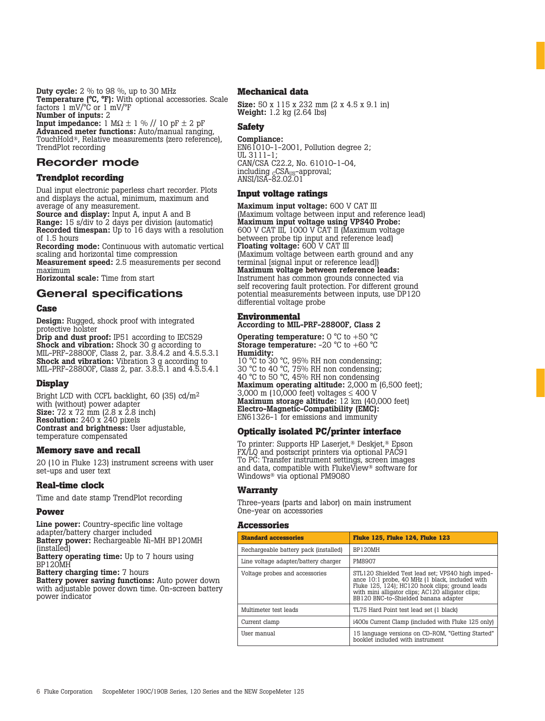**Duty cycle:**  $2\%$  to 98 %, up to 30 MHz Temperature (°C, °F): With optional accessories. Scale factors 1 mV/°C or 1 mV/°F Number of inputs: 2

Input impedance:  $1 M\Omega \pm 1 \%$  //  $10 pF \pm 2 pF$ Advanced meter functions: Auto/manual ranging, TouchHold®, Relative measurements (zero reference), TrendPlot recording

## **Recorder mode**

## **Trendplot recording**

Dual input electronic paperless chart recorder. Plots and displays the actual, minimum, maximum and average of any measurement.

Source and display: Input A, input A and B Range: 15 s/div to 2 days per division (automatic) Recorded timespan: Up to 16 days with a resolution of 1.5 hours

Recording mode: Continuous with automatic vertical scaling and horizontal time compression

Measurement speed: 2.5 measurements per second maximum

Horizontal scale: Time from start

## **General specifications**

#### **Case**

Design: Rugged, shock proof with integrated protective holster

Drip and dust proof: IP51 according to IEC529 Shock and vibration: Shock 30 g according to MIL-PRF-28800F, Class 2, par. 3.8.4.2 and 4.5.5.3.1 Shock and vibration: Vibration 3 g according to MIL-PRF-28800F, Class 2, par. 3.8.5.1 and 4.5.5.4.1

## **Display**

Bright LCD with CCFL backlight, 60 (35) cd/m2 with (without) power adapter **Size:**  $72 \times 72 \text{ mm}$  (2.8 x 2.8 inch) Resolution: 240 x 240 pixels Contrast and brightness: User adjustable, temperature compensated

## **Memory save and recall**

20 (10 in Fluke 123) instrument screens with user set-ups and user text

## **Real-time clock**

Time and date stamp TrendPlot recording

## **Power**

Line power: Country-specific line voltage adapter/battery charger included Battery power: Rechargeable Ni-MH BP120MH (installed) **Battery operating time:** Up to 7 hours using BP120MH

Battery charging time: 7 hours

Battery power saving functions: Auto power down with adjustable power down time. On-screen battery power indicator

#### **Mechanical data**

Size: 50 x 115 x 232 mm (2 x 4.5 x 9.1 in) Weight: 1.2 kg (2.64 lbs)

## **Safety**

#### Compliance:

EN6 $1010-1-2001$ , Pollution degree 2; UL 3111-1; CAN/CSA C22.2, No. 61010-1-04, including <sub>c</sub>CSA<sub>US</sub>-approval; ANSI/ISA-82.02.01

#### **Input voltage ratings**

Maximum input voltage: 600 V CAT III (Maximum voltage between input and reference lead) Maximum input voltage using VPS40 Probe: 600 V CAT III, 1000 V CAT II (Maximum voltage between probe tip input and reference lead) Floating voltage: 600 V CAT III (Maximum voltage between earth ground and any terminal [signal input or reference lead]) Maximum voltage between reference leads: Instrument has common grounds connected via self recovering fault protection. For different ground potential measurements between inputs, use DP120 differential voltage probe

## **Environmental**

According to MIL-PRF-28800F, Class 2

**Operating temperature:** 0 °C to +50 °C **Storage temperature:** -20  $^{\circ}$ C to +60  $^{\circ}$ C Humidity:

10 °C to 30 °C, 95% RH non condensing; 30 °C to 40 °C, 75% RH non condensing; 40 °C to 50 °C, 45% RH non condensing Maximum operating altitude: 2,000 m (6,500 feet); 3,000 m (10,000 feet) voltages ≤ 400 V Maximum storage altitude: 12 km (40,000 feet) Electro-Magnetic-Compatibility (EMC): EN61326-1 for emissions and immunity

## **Optically isolated PC/printer interface**

To printer: Supports HP Laserjet,® Deskjet,® Epson FX/LQ and postscript printers via optional PAC91 To PC: Transfer instrument settings, screen images and data, compatible with FlukeView® software for Windows® via optional PM9080

## **Warranty**

Three-years (parts and labor) on main instrument One-year on accessories

## **Accessories**

| <b>Standard accessories</b>           | <b>Fluke 125, Fluke 124, Fluke 123</b>                                                                                                                                                                                                              |  |  |
|---------------------------------------|-----------------------------------------------------------------------------------------------------------------------------------------------------------------------------------------------------------------------------------------------------|--|--|
| Rechargeable battery pack (installed) | BP120MH                                                                                                                                                                                                                                             |  |  |
| Line voltage adapter/battery charger  | <b>PM8907</b>                                                                                                                                                                                                                                       |  |  |
| Voltage probes and accessories        | STL120 Shielded Test lead set; VPS40 high imped-<br>ance 10:1 probe, 40 MHz (1 black, included with<br>Fluke 125, 124); HC120 hook clips; ground leads<br>with mini alligator clips; AC120 alligator clips;<br>BB120 BNC-to-Shielded banana adapter |  |  |
| Multimeter test leads                 | TL75 Hard Point test lead set (1 black)                                                                                                                                                                                                             |  |  |
| Current clamp                         | i400s Current Clamp (included with Fluke 125 only)                                                                                                                                                                                                  |  |  |
| User manual                           | 15 language versions on CD-ROM, "Getting Started"<br>booklet included with instrument                                                                                                                                                               |  |  |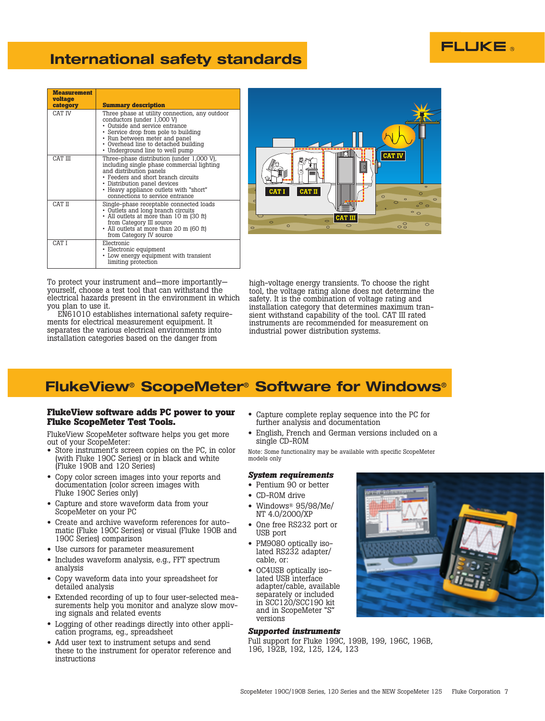## **International safety standards**

| <b>Measurement</b><br>voltage<br>category | <b>Summary description</b>                                                                                                                                                                                                                                             |
|-------------------------------------------|------------------------------------------------------------------------------------------------------------------------------------------------------------------------------------------------------------------------------------------------------------------------|
| CAT IV                                    | Three phase at utility connection, any outdoor<br>conductors (under 1,000 V)<br>• Outside and service entrance<br>• Service drop from pole to building<br>• Run between meter and panel<br>• Overhead line to detached building<br>• Underground line to well pump     |
| CAT III                                   | Three-phase distribution (under 1,000 V),<br>including single phase commercial lighting<br>and distribution panels<br>• Feeders and short branch circuits<br>• Distribution panel devices<br>• Heavy appliance outlets with "short"<br>connections to service entrance |
| CAT II                                    | Single-phase receptable connected loads<br>• Outlets and long branch circuits<br>• All outlets at more than 10 m (30 ft)<br>from Category III source<br>• All outlets at more than 20 m (60 ft)<br>from Category IV source                                             |
| CAT I                                     | Electronic<br>• Electronic equipment<br>• Low energy equipment with transient<br>limiting protection                                                                                                                                                                   |



To protect your instrument and—more importantly yourself, choose a test tool that can withstand the electrical hazards present in the environment in which you plan to use it.

EN61010 establishes international safety requirements for electrical measurement equipment. It separates the various electrical environments into installation categories based on the danger from

high-voltage energy transients. To choose the right tool, the voltage rating alone does not determine the safety. It is the combination of voltage rating and installation category that determines maximum transient withstand capability of the tool. CAT III rated instruments are recommended for measurement on industrial power distribution systems.

## **FlukeView**® **ScopeMeter**® **Software for Windows**®

#### **FlukeView software adds PC power to your Fluke ScopeMeter Test Tools.**

FlukeView ScopeMeter software helps you get more out of your ScopeMeter:

- Store instrument's screen copies on the PC, in color (with Fluke 190C Series) or in black and white (Fluke 190B and 120 Series)
- Copy color screen images into your reports and documentation (color screen images with Fluke 190C Series only)
- Capture and store waveform data from your ScopeMeter on your PC
- Create and archive waveform references for automatic (Fluke 190C Series) or visual (Fluke 190B and 190C Series) comparison
- Use cursors for parameter measurement
- Includes waveform analysis, e.g., FFT spectrum analysis
- Copy waveform data into your spreadsheet for detailed analysis
- Extended recording of up to four user-selected measurements help you monitor and analyze slow moving signals and related events
- Logging of other readings directly into other application programs, eg., spreadsheet
- Add user text to instrument setups and send these to the instrument for operator reference and instructions
- Capture complete replay sequence into the PC for further analysis and documentation
- English, French and German versions included on a single CD-ROM

Note: Some functionality may be available with specific ScopeMeter models only

#### *System requirements*

- Pentium 90 or better
- CD-ROM drive
- Windows® 95/98/Me/ NT 4.0/2000/XP
- One free RS232 port or USB port
- PM9080 optically iso-lated RS232 adapter/ cable, or:
- OC4USB optically isolated USB interface adapter/cable, available separately or included in SCC120/SCC190 kit and in ScopeMeter "S" versions

#### *Supported instruments*

Full support for Fluke 199C, 199B, 199, 196C, 196B, 196, 192B, 192, 125, 124, 123



**FLUKE**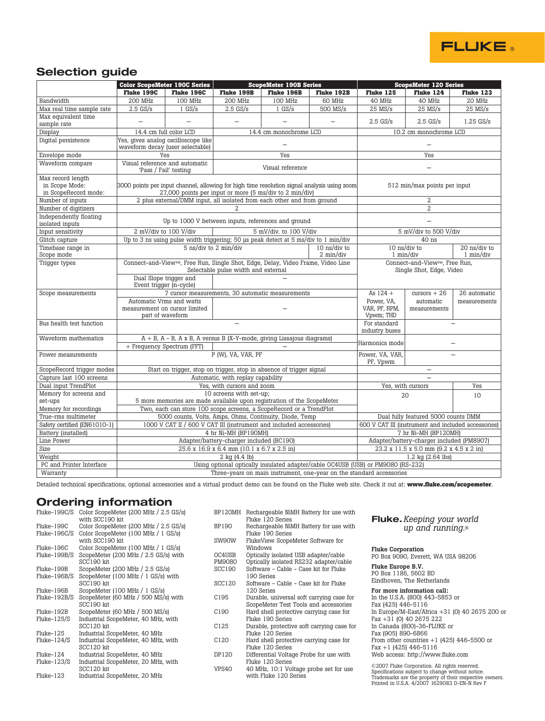

## **Selection guide**

|                                                             |                                                                                                                                               | <b>Color ScopeMeter 190C Series</b>                                                 | <b>ScopeMeter 190B Series</b>                                                                                                                          |                                                              | <b>ScopeMeter 120 Series</b> |                          |                        |           |
|-------------------------------------------------------------|-----------------------------------------------------------------------------------------------------------------------------------------------|-------------------------------------------------------------------------------------|--------------------------------------------------------------------------------------------------------------------------------------------------------|--------------------------------------------------------------|------------------------------|--------------------------|------------------------|-----------|
|                                                             | Fluke 199C                                                                                                                                    | Fluke 196C                                                                          | Fluke 199B                                                                                                                                             | Fluke 196B                                                   | Fluke 192B                   | Fluke 125                | Fluke 124              | Fluke 123 |
| Bandwidth                                                   | <b>200 MHz</b>                                                                                                                                | 100 MHz                                                                             | <b>200 MHz</b>                                                                                                                                         | 100 MHz                                                      | 60 MHz                       | 40 MHz                   | 40 MHz                 | 20 MHz    |
| Max real time sample rate                                   | $2.5$ GS/s                                                                                                                                    | $1$ GS/s                                                                            | $2.5$ GS/s                                                                                                                                             | $1$ GS/s                                                     | 500 MS/s                     | $25$ MS/s                | $25$ MS/s              | $25$ MS/s |
| Max equivalent time<br>sample rate                          |                                                                                                                                               |                                                                                     |                                                                                                                                                        |                                                              | $2.5$ GS/s                   | $2.5$ GS/s               | $1.25$ GS/s            |           |
| Display                                                     |                                                                                                                                               | 14.4 cm full color LCD                                                              |                                                                                                                                                        | 14.4 cm monochrome LCD                                       |                              |                          | 10.2 cm monochrome LCD |           |
| Digital persistence                                         |                                                                                                                                               | Yes, gives analog oscilloscope like<br>waveform decay (user selectable)             |                                                                                                                                                        |                                                              |                              | $\overline{\phantom{0}}$ |                        |           |
| Envelope mode                                               |                                                                                                                                               | Yes                                                                                 |                                                                                                                                                        | Yes                                                          |                              | Yes                      |                        |           |
| Waveform compare                                            |                                                                                                                                               | Visual reference and automatic<br>'Pass / Fail' testing                             | Visual reference                                                                                                                                       |                                                              | $\overline{\phantom{0}}$     |                          |                        |           |
| Max record length<br>in Scope Mode:<br>in ScopeRecord mode: |                                                                                                                                               |                                                                                     | 3000 points per input channel, allowing for high time resolution signal analysis using zoom<br>27,000 points per input or more (5 ms/div to 2 min/div) |                                                              | 512 min/max points per input |                          |                        |           |
| Number of inputs                                            |                                                                                                                                               | 2 plus external/DMM input, all isolated from each other and from ground             |                                                                                                                                                        |                                                              |                              | 2                        |                        |           |
| Number of digitizers                                        |                                                                                                                                               |                                                                                     | $\overline{a}$                                                                                                                                         |                                                              |                              |                          | $\overline{2}$         |           |
| Independently floating<br>isolated inputs                   |                                                                                                                                               | Up to 1000 V between inputs, references and ground                                  |                                                                                                                                                        |                                                              |                              | $\overline{\phantom{0}}$ |                        |           |
| Input sensitivity                                           |                                                                                                                                               | 2 mV/div to 100 V/div                                                               |                                                                                                                                                        | 5 mV/div. to 100 V/div                                       |                              | 5 mV/div to 500 V/div    |                        |           |
| Glitch capture                                              |                                                                                                                                               | Up to 3 ns using pulse width triggering; 50 us peak detect at 5 ms/div to 1 min/div |                                                                                                                                                        |                                                              |                              | 40 ns                    |                        |           |
| Timebase range in<br>Scope mode                             |                                                                                                                                               | 5 ns/div to 2 min/div<br>10 ns/div to<br>2 min/div                                  |                                                                                                                                                        | 10 ns/div to<br>$20$ ns/div to<br>$1$ min/div<br>$1$ min/div |                              |                          |                        |           |
| Trigger types                                               | Connect-and-View <sup>™</sup> , Free Run, Single Shot, Edge, Delay, Video Frame, Video Line<br>Selectable pulse width and external            |                                                                                     |                                                                                                                                                        | Connect-and-View™. Free Run.<br>Single Shot, Edge, Video     |                              |                          |                        |           |
|                                                             | Dual Slope trigger and<br>Event trigger (n-cycle)                                                                                             |                                                                                     |                                                                                                                                                        |                                                              |                              |                          |                        |           |
| Scope measurements                                          | 7 cursor measurements, 30 automatic measurements                                                                                              |                                                                                     |                                                                                                                                                        | As $124 +$                                                   | $cursors + 26$               | 26 automatic             |                        |           |
|                                                             | Automatic Vrms and watts<br>measurement on cursor limited                                                                                     |                                                                                     |                                                                                                                                                        | Power, VA,<br>VAR, PF, RPM,<br>Vpwm; THD                     | automatic<br>measurements    | measurements             |                        |           |
| Bus health test function                                    | part of waveform                                                                                                                              |                                                                                     |                                                                                                                                                        |                                                              | For standard                 |                          |                        |           |
|                                                             |                                                                                                                                               |                                                                                     |                                                                                                                                                        | industry buses                                               |                              |                          |                        |           |
| Waveform mathematics                                        | $A + B$ , $A - B$ , $A \times B$ , $A$ versus $B$ (X-Y-mode, giving Lissajous diagrams)<br>+ Frequency Spectrum (FFT)                         |                                                                                     |                                                                                                                                                        | Harmonics mode                                               |                              |                          |                        |           |
| Power measurements                                          |                                                                                                                                               |                                                                                     | P (W), VA, VAR, PF                                                                                                                                     |                                                              | Power, VA, VAR,<br>PF, Vpwm  |                          |                        |           |
| ScopeRecord trigger modes                                   |                                                                                                                                               | Start on trigger, stop on trigger, stop in absence of trigger signal                |                                                                                                                                                        |                                                              |                              | $\qquad \qquad -$        |                        |           |
| Capture last 100 screens                                    |                                                                                                                                               | Automatic, with replay capability                                                   |                                                                                                                                                        |                                                              |                              |                          |                        |           |
| Dual input TrendPlot                                        |                                                                                                                                               |                                                                                     | Yes, with cursors and zoom                                                                                                                             |                                                              |                              |                          | Yes, with cursors      | Yes       |
| Memory for screens and                                      | 10 screens with set-up;                                                                                                                       |                                                                                     |                                                                                                                                                        |                                                              | 20                           | 10                       |                        |           |
| set-ups<br>Memory for recordings                            | 5 more memories are made available upon registration of the ScopeMeter<br>Two, each can store 100 scope screens, a ScopeRecord or a TrendPlot |                                                                                     |                                                                                                                                                        |                                                              |                              |                          |                        |           |
| True-rms multimeter                                         | 5000 counts, Volts, Amps, Ohms, Continuity, Diode, Temp<br>Dual fully featured 5000 counts DMM                                                |                                                                                     |                                                                                                                                                        |                                                              |                              |                          |                        |           |
| Safety certified (EN61010-1)                                | 1000 V CAT II / 600 V CAT III (instrument and included accessories)<br>600 V CAT III (instrument and included accessories)                    |                                                                                     |                                                                                                                                                        |                                                              |                              |                          |                        |           |
| Battery (installed)                                         | 4 hr Ni-MH (BP190MH)<br>7 hr Ni-MH (BP120MH)                                                                                                  |                                                                                     |                                                                                                                                                        |                                                              |                              |                          |                        |           |
| Line Power                                                  | Adapter/battery-charger included (BC190)<br>Adapter/battery-charger included (PM8907)                                                         |                                                                                     |                                                                                                                                                        |                                                              |                              |                          |                        |           |
| Size                                                        | 25.6 x 16.9 x 6.4 mm (10.1 x 6.7 x 2.5 in)<br>23.2 x 11.5 x 5.0 mm (9.2 x 4.5 x 2 in)                                                         |                                                                                     |                                                                                                                                                        |                                                              |                              |                          |                        |           |
| Weight                                                      | 2 kg (4.4 lb)<br>1.2 kg (2.64 lbs)                                                                                                            |                                                                                     |                                                                                                                                                        |                                                              |                              |                          |                        |           |
| PC and Printer Interface                                    | Using optional optically insulated adapter/cable OC4USB (USB) or PM9080 (RS-232)                                                              |                                                                                     |                                                                                                                                                        |                                                              |                              |                          |                        |           |
| Warranty                                                    |                                                                                                                                               | Three-years on main instrument, one-year on the standard accessories                |                                                                                                                                                        |                                                              |                              |                          |                        |           |

Detailed technical specifications, optional accessories and a virtual product demo can be found on the Fluke web site. Check it out at: **www.fluke.com/scopemeter**.

## **Ordering information**

| Color ScopeMeter (200 MHz / 2.5 GS/s)<br>with SCC190 kit |
|----------------------------------------------------------|
| Color ScopeMeter (200 MHz / 2.5 GS/s)                    |
| Color ScopeMeter (100 MHz / 1 GS/s)<br>with SCC190 kit   |
| Color ScopeMeter (100 MHz / 1 GS/s)                      |
| ScopeMeter (200 MHz / 2.5 GS/s) with<br>SCC190 kit       |
| ScopeMeter (200 MHz / 2.5 GS/s)                          |
| ScopeMeter (100 MHz / 1 GS/s) with<br>SCC190 kit         |
| ScopeMeter (100 MHz / 1 GS/s)                            |
| ScopeMeter (60 MHz / 500 MS/s) with<br>SCC190 kit        |
| ScopeMeter (60 MHz / 500 MS/s)                           |
| Industrial ScopeMeter, 40 MHz, with<br>SCC120 kit        |
| Industrial ScopeMeter, 40 MHz                            |
| Industrial ScopeMeter, 40 MHz, with<br>SCC120 kit        |
| Industrial ScopeMeter, 40 MHz                            |
| Industrial ScopeMeter, 20 MHz, with<br>SCC120 kit        |
| Industrial ScopeMeter, 20 MHz                            |
|                                                          |

| BP120MH          | Rechargeable NiMH Battery for use with<br>Fluke 120 Series |
|------------------|------------------------------------------------------------|
| BP190            | Rechargeable NiMH Battery for use with<br>Fluke 190 Series |
| SW90W            | FlukeView ScopeMeter Software for                          |
|                  | Windows                                                    |
| OC4USB           | Optically isolated USB adapter/cable                       |
| PM9080           | Optically isolated RS232 adapter/cable                     |
| SCC190           | Software - Cable - Case kit for Fluke                      |
|                  | 190 Series                                                 |
| SCC120           | Software - Cable - Case kit for Fluke                      |
|                  | 120 Series                                                 |
| C <sub>195</sub> | Durable, universal soft carrying case for                  |
|                  | ScopeMeter Test Tools and accessories                      |
| C190             | Hard shell protective carrying case for                    |
|                  | Fluke 190 Series                                           |
| C125             | Durable, protective soft carrying case for                 |
|                  | Fluke 120 Series                                           |
| C120             | Hard shell protective carrying case for                    |
|                  | Fluke 120 Series                                           |
| DP120            | Differential Voltage Probe for use with                    |
|                  | Fluke 120 Series                                           |
| VPS40            | 40 MHz, 10:1 Voltage probe set for use                     |
|                  |                                                            |
|                  | with Fluke 120 Series                                      |

#### **Fluke.***Keeping your world up and running.*®

**Fluke Corporation**<br>PO Box 9090, Everett, WA USA 98206

Fluke Europe B.V. PO Box 1186, 5602 BD Eindhoven, The Netherlands

For more information call: In the U.S.A. (800) 443-5853 or Fax (425) 446-5116 In Europe/M-East/Africa +31 (0) 40 2675 200 or Fax +31 (0) 40 2675 222 In Canada (800)-36-FLUKE or Fax (905) 890-6866 From other countries +1 (425) 446-5500 or Fax +1 (425) 446-5116 Web access: http://www.fluke.com

©2007 Fluke Corporation. All rights reserved.<br>Specifications subject to change without notice.<br>Trademarks are the property of their respective owners.<br>Printed in U.S.A. 4/2007 1629083 D-EN-N Rev F